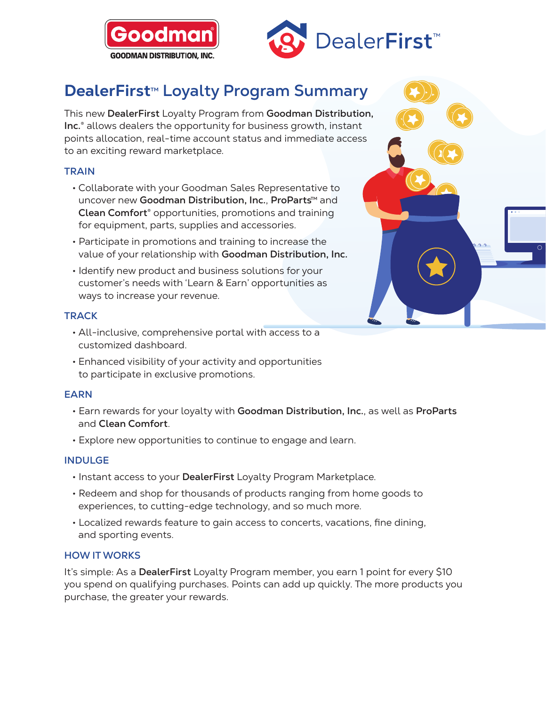



# **DealerFirst<sup>™</sup> Loyalty Program Summary**

This new **DealerFirst** [Loyalty Program](https://www.dealerfirstrewards.com/) from **Goodman Distribution, Inc.**® allows dealers the opportunity for business growth, instant points allocation, real-time account status and immediate access to an exciting reward marketplace.

## **TRAIN**

- Collaborate with your Goodman Sales Representative to uncover new Goodman Distribution, Inc., ProParts<sup>™</sup> and **Clean Comfort**® opportunities, promotions and training for equipment, parts, supplies and accessories.
- Participate in promotions and training to increase the value of your relationship with **Goodman Distribution, Inc.**
- Identify new product and business solutions for your customer's needs with 'Learn & Earn' opportunities as ways to increase your revenue.

## **TRACK**

- All-inclusive, comprehensive portal with access to a customized dashboard.
- Enhanced visibility of your activity and opportunities to participate in exclusive promotions.

### **EARN**

- Earn rewards for your loyalty with **Goodman Distribution, Inc.**, as well as **ProParts** and **Clean Comfort**.
- Explore new opportunities to continue to engage and learn.

### **INDULGE**

- Instant access to your **DealerFirst** [Loyalty Program](https://www.dealerfirstrewards.com/) Marketplace.
- Redeem and shop for thousands of products ranging from home goods to experiences, to cutting-edge technology, and so much more.
- Localized rewards feature to gain access to concerts, vacations, fine dining, and sporting events.

### **HOW IT WORKS**

It's simple: As a **DealerFirst** Loyalty Program member, you earn 1 point for every \$10 you spend on qualifying purchases. Points can add up quickly. The more products you purchase, the greater your rewards.